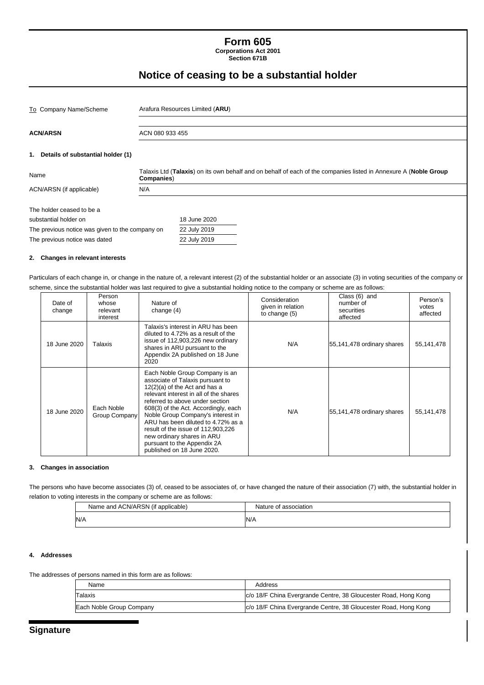# **Form 605**

**Corporations Act 2001 Section 671B**

## **Notice of ceasing to be a substantial holder**

| To Company Name/Scheme                                                                                                                 | Arafura Resources Limited (ARU)                                                                                                |
|----------------------------------------------------------------------------------------------------------------------------------------|--------------------------------------------------------------------------------------------------------------------------------|
| <b>ACN/ARSN</b>                                                                                                                        | ACN 080 933 455                                                                                                                |
| 1. Details of substantial holder (1)                                                                                                   |                                                                                                                                |
| Name                                                                                                                                   | Talaxis Ltd (Talaxis) on its own behalf and on behalf of each of the companies listed in Annexure A (Noble Group<br>Companies) |
| ACN/ARSN (if applicable)                                                                                                               | N/A                                                                                                                            |
| The holder ceased to be a<br>substantial holder on<br>The previous notice was given to the company on<br>The previous notice was dated | 18 June 2020<br>22 July 2019<br>22 July 2019                                                                                   |

#### **2. Changes in relevant interests**

Particulars of each change in, or change in the nature of, a relevant interest (2) of the substantial holder or an associate (3) in voting securities of the company or scheme, since the substantial holder was last required to give a substantial holding notice to the company or scheme are as follows:

| Date of<br>change | Person<br>whose<br>relevant<br>interest                                                                                                                                                                                                                                                                                                                                                                                                                             | Nature of<br>change $(4)$                                                                                                                                                                   | Consideration<br>given in relation<br>to change (5) | Class (6) and<br>number of<br>securities<br>affected | Person's<br>votes<br>affected |
|-------------------|---------------------------------------------------------------------------------------------------------------------------------------------------------------------------------------------------------------------------------------------------------------------------------------------------------------------------------------------------------------------------------------------------------------------------------------------------------------------|---------------------------------------------------------------------------------------------------------------------------------------------------------------------------------------------|-----------------------------------------------------|------------------------------------------------------|-------------------------------|
| 18 June 2020      | Talaxis                                                                                                                                                                                                                                                                                                                                                                                                                                                             | Talaxis's interest in ARU has been<br>diluted to 4.72% as a result of the<br>issue of 112,903,226 new ordinary<br>shares in ARU pursuant to the<br>Appendix 2A published on 18 June<br>2020 | N/A                                                 | 55,141,478 ordinary shares                           | 55, 141, 478                  |
| 18 June 2020      | Each Noble Group Company is an<br>associate of Talaxis pursuant to<br>12(2)(a) of the Act and has a<br>relevant interest in all of the shares<br>referred to above under section<br>Each Noble<br>608(3) of the Act. Accordingly, each<br>Noble Group Company's interest in<br>Group Company<br>ARU has been diluted to 4.72% as a<br>result of the issue of 112,903,226<br>new ordinary shares in ARU<br>pursuant to the Appendix 2A<br>published on 18 June 2020. |                                                                                                                                                                                             | N/A                                                 | 55,141,478 ordinary shares                           | 55, 141, 478                  |

#### **3. Changes in association**

The persons who have become associates (3) of, ceased to be associates of, or have changed the nature of their association (7) with, the substantial holder in relation to voting interests in the company or scheme are as follows:

| Name and ACN/ARSN (if applicable) | Nature of association |
|-----------------------------------|-----------------------|
| N/A                               | N/A                   |

#### **4. Addresses**

The addresses of persons named in this form are as follows:

| Name                     | Address                                                         |
|--------------------------|-----------------------------------------------------------------|
| Talaxis                  | c/o 18/F China Evergrande Centre, 38 Gloucester Road, Hong Kong |
| Each Noble Group Company | c/o 18/F China Evergrande Centre, 38 Gloucester Road, Hong Kong |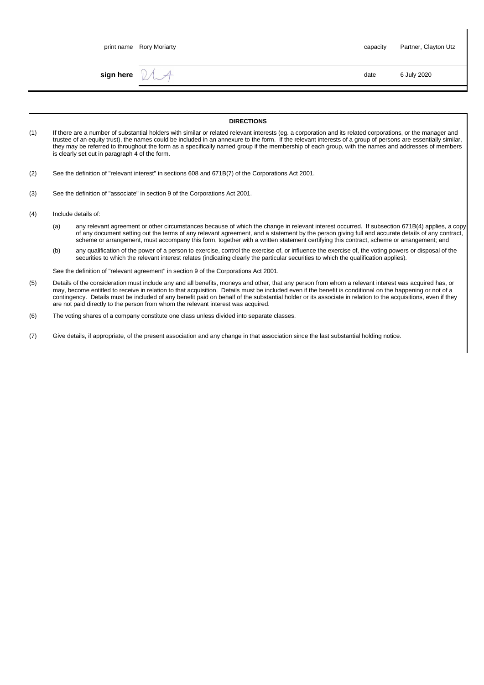|     |                                                | print name Rory Moriarty           |                                                                                                                                                                                                                                                                                                                                                                                                                                                                                    | capacity | Partner, Clayton Utz |
|-----|------------------------------------------------|------------------------------------|------------------------------------------------------------------------------------------------------------------------------------------------------------------------------------------------------------------------------------------------------------------------------------------------------------------------------------------------------------------------------------------------------------------------------------------------------------------------------------|----------|----------------------|
|     |                                                | sign here $\mathbb{Z} \rightarrow$ |                                                                                                                                                                                                                                                                                                                                                                                                                                                                                    | date     | 6 July 2020          |
|     |                                                |                                    |                                                                                                                                                                                                                                                                                                                                                                                                                                                                                    |          |                      |
|     |                                                |                                    | <b>DIRECTIONS</b>                                                                                                                                                                                                                                                                                                                                                                                                                                                                  |          |                      |
| (1) | is clearly set out in paragraph 4 of the form. |                                    | If there are a number of substantial holders with similar or related relevant interests (eg. a corporation and its related corporations, or the manager and<br>trustee of an equity trust), the names could be included in an annexure to the form. If the relevant interests of a group of persons are essentially similar.<br>they may be referred to throughout the form as a specifically named group if the membership of each group, with the names and addresses of members |          |                      |
| (2) |                                                |                                    | See the definition of "relevant interest" in sections 608 and 671B(7) of the Corporations Act 2001.                                                                                                                                                                                                                                                                                                                                                                                |          |                      |

- (3) See the definition of "associate" in section 9 of the Corporations Act 2001.
- (4) Include details of:
	- (a) any relevant agreement or other circumstances because of which the change in relevant interest occurred. If subsection 671B(4) applies, a copy of any document setting out the terms of any relevant agreement, and a statement by the person giving full and accurate details of any contract, scheme or arrangement, must accompany this form, together with a written statement certifying this contract, scheme or arrangement; and
	- (b) any qualification of the power of a person to exercise, control the exercise of, or influence the exercise of, the voting powers or disposal of the securities to which the relevant interest relates (indicating clearly the particular securities to which the qualification applies).

See the definition of "relevant agreement" in section 9 of the Corporations Act 2001.

- (5) Details of the consideration must include any and all benefits, moneys and other, that any person from whom a relevant interest was acquired has, or may, become entitled to receive in relation to that acquisition. Details must be included even if the benefit is conditional on the happening or not of a contingency. Details must be included of any benefit paid on behalf of the substantial holder or its associate in relation to the acquisitions, even if they are not paid directly to the person from whom the relevant interest was acquired.
- (6) The voting shares of a company constitute one class unless divided into separate classes.

(7) Give details, if appropriate, of the present association and any change in that association since the last substantial holding notice.